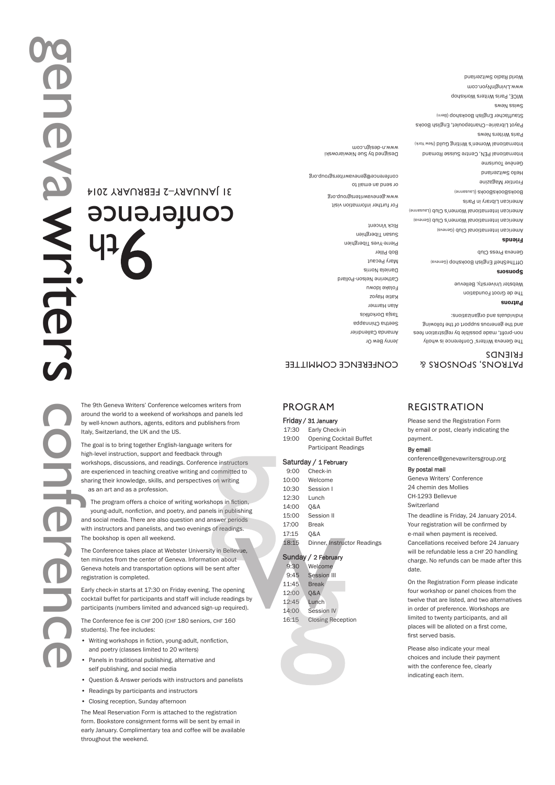# conference 21 JANUARY-2 FEBRUARY 2014

The 9th Geneva Writers' Conference welcomes writers from around the world to a weekend of workshops and panels led by well-known authors, agents, editors and publishers from Italy, Switzerland, the UK and the US.

The goal is to bring together English-language writers for high-level instruction, support and feedback through workshops, discussions, and readings. Conference instructors are experienced in teaching creative writing and committed to sharing their knowledge, skills, and perspectives on writing as an art and as a profession.

The program offers a choice of writing workshops in fiction, voung-adult, nonfiction, and poetry, and panels in publishing and social media. There are also question and answer periods with instructors and panelists, and two evenings of readings. The bookshop is open all weekend.

The Conference takes place at Webster University in Bellevue. ten minutes from the center of Geneva. Information about Geneva hotels and transportation options will be sent after registration is completed.

Early check-in starts at 17:30 on Friday evening. The opening cocktail buffet for participants and staff will include readings by participants (numbers limited and advanced sign-up required).

The Conference fee is CHF 200 (CHF 180 seniors, CHF 160 students). The fee includes:

- · Writing workshops in fiction, young-adult, nonfiction, and poetry (classes limited to 20 writers)
- Panels in traditional publishing, alternative and self publishing, and social media
- Question & Answer periods with instructors and panelists
- Readings by participants and instructors
- Closing reception, Sunday afternoon

The Meal Reservation Form is attached to the registration form. Bookstore consignment forms will be sent by email in early January. Complimentary tea and coffee will be available throughout the weekend.

### CONFERENCE COMMILLEE

## PROGRAM

### Friday / 31 January

17:30 Early Check-in 19:00 Opening Cocktail Buffet Participant Readings

### Saturday / 1 February

| 9:00  | Check-in                    |
|-------|-----------------------------|
| 10:00 | Welcome                     |
| 10:30 | Session I                   |
| 12:30 | Lunch                       |
| 14:00 | 0&A                         |
| 15:00 | Session II                  |
| 17:00 | Break                       |
| 17:15 | 0&A                         |
| 18:15 | Dinner, Instructor Readings |
|       |                             |

### Sunday / 2 February

| 9:30  | Welcome                 |
|-------|-------------------------|
| 9:45  | Session III             |
| 11:45 | <b>Break</b>            |
| 12:00 | <b>Q&amp;A</b>          |
| 12:45 | Lunch                   |
| 14:00 | Session IV              |
| 16:15 | <b>Closing Receptio</b> |

16:15 Closing Reception

### **& CACCORS**, SPORDAS FRIENDS

The Geneva Writers' Conference is wholly non-profit, made possible by registration fees and the generous support of the following LOUD SUUD QUARTION DIST

OffTheShelf English Bookshop (Geneva)

American International Club (Geneva) American International Women's Club (Geneva) American International Women's Club (Lausanne)

International Women's Writing Guild (New York)

Payot Librairie-Chantepoulet, English Books Stauffacher English Bookshop (Bem)

Patrons

suosuods

Gull by any club Friends

wucheur ripray in Paris ROOK2ROOK2 (Fanzauue) Frontier Magazine housing one awsunoi avauan

Paris Wutters News

WICE, Paris Witers Workshop www.LivingIniyiJ.www World Radio Switzerland

SM<sub>H</sub>N<sub>S</sub>

The de Groot Foundation Webster University, Bellevue

### REGISTRATION

Please send the Registration Form by email or post, clearly indicating the payment.

### By email

conference@genevawritersgroup.org

### By postal mail

Geneva Writers' Conference 24 chemin des Mollies CH-1293 Bellevue Switzerland

The deadline is Friday, 24 January 2014. Your registration will be confirmed by e-mail when payment is received. Cancellations received before 24 January will be refundable less a CHF 20 handling charge. No refunds can be made after this date

On the Registration Form please indicate four workshop or panel choices from the twelve that are listed, and two alternatives in order of preference. Workshops are limited to twenty participants, and all places will be alloted on a first come. first served basis

Please also indicate your meal choices and include their payment with the conference fee, clearly indicating each item.

-Houn As Autor Amanda Callendrier setha Chinnappa zixhovhod sizeT Alan Harmer .zoven əlisy Folake ldowu Catherine Nelson-Pollard Daniela Norris Mary Pecaut ROD HIIIGL Pierre-Yves Tiberghien  $\mu$ anzau $\mu$ nau $\Omega$ 

# Designed by Sue Newiarowski

International PEN, Centre Suisse Romand conterence@genevawritersgroup.org

mw.n-dealgn.com

**KICK VINGGIN** 

Of send an email to

WWW.genevawritersgroup.org

For further information visit